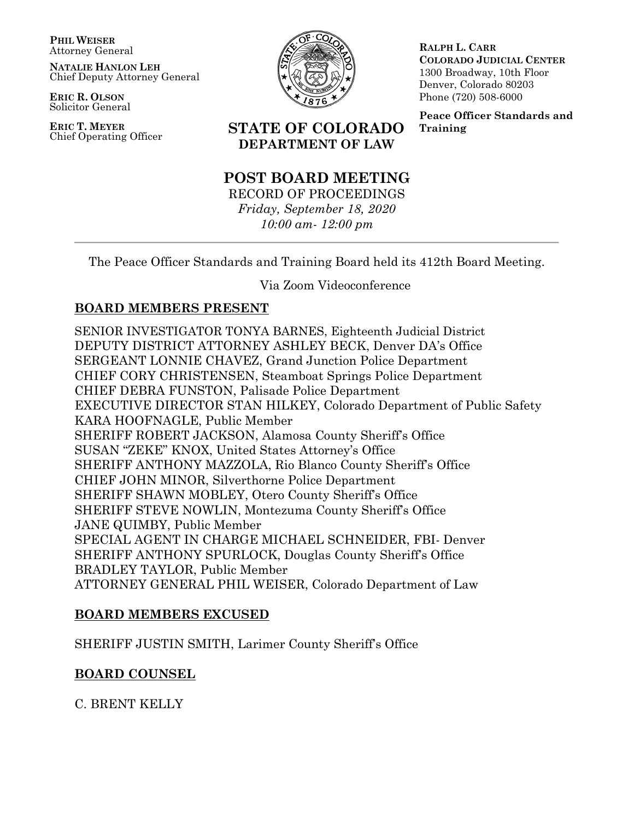**PHIL WEISER** Attorney General

**NATALIE HANLON LEH** Chief Deputy Attorney General

**ERIC R. OLSON** Solicitor General

**ERIC T. MEYER**



**RALPH L. CARR COLORADO JUDICIAL CENTER** 1300 Broadway, 10th Floor Denver, Colorado 80203 Phone (720) 508-6000

**Peace Officer Standards and Training**

# Chief Operating Officer **STATE OF COLORADO DEPARTMENT OF LAW**

# **POST BOARD MEETING**

RECORD OF PROCEEDINGS *Friday, September 18, 2020 10:00 am- 12:00 pm*

The Peace Officer Standards and Training Board held its 412th Board Meeting.

Via Zoom Videoconference

# **BOARD MEMBERS PRESENT**

SENIOR INVESTIGATOR TONYA BARNES, Eighteenth Judicial District DEPUTY DISTRICT ATTORNEY ASHLEY BECK, Denver DA's Office SERGEANT LONNIE CHAVEZ, Grand Junction Police Department CHIEF CORY CHRISTENSEN, Steamboat Springs Police Department CHIEF DEBRA FUNSTON, Palisade Police Department EXECUTIVE DIRECTOR STAN HILKEY, Colorado Department of Public Safety KARA HOOFNAGLE, Public Member SHERIFF ROBERT JACKSON, Alamosa County Sheriff's Office SUSAN "ZEKE" KNOX, United States Attorney's Office SHERIFF ANTHONY MAZZOLA, Rio Blanco County Sheriff's Office CHIEF JOHN MINOR, Silverthorne Police Department SHERIFF SHAWN MOBLEY, Otero County Sheriff's Office SHERIFF STEVE NOWLIN, Montezuma County Sheriff's Office JANE QUIMBY, Public Member SPECIAL AGENT IN CHARGE MICHAEL SCHNEIDER, FBI- Denver SHERIFF ANTHONY SPURLOCK, Douglas County Sheriff's Office BRADLEY TAYLOR, Public Member ATTORNEY GENERAL PHIL WEISER, Colorado Department of Law

# **BOARD MEMBERS EXCUSED**

SHERIFF JUSTIN SMITH, Larimer County Sheriff's Office

# **BOARD COUNSEL**

C. BRENT KELLY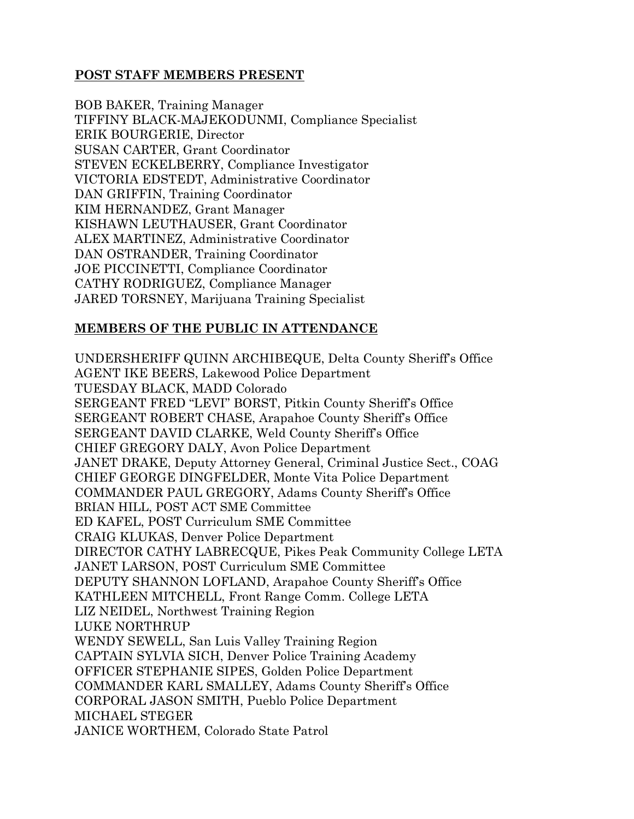# **POST STAFF MEMBERS PRESENT**

BOB BAKER, Training Manager TIFFINY BLACK-MAJEKODUNMI, Compliance Specialist ERIK BOURGERIE, Director SUSAN CARTER, Grant Coordinator STEVEN ECKELBERRY, Compliance Investigator VICTORIA EDSTEDT, Administrative Coordinator DAN GRIFFIN, Training Coordinator KIM HERNANDEZ, Grant Manager KISHAWN LEUTHAUSER, Grant Coordinator ALEX MARTINEZ, Administrative Coordinator DAN OSTRANDER, Training Coordinator JOE PICCINETTI, Compliance Coordinator CATHY RODRIGUEZ, Compliance Manager JARED TORSNEY, Marijuana Training Specialist

# **MEMBERS OF THE PUBLIC IN ATTENDANCE**

UNDERSHERIFF QUINN ARCHIBEQUE, Delta County Sheriff's Office AGENT IKE BEERS, Lakewood Police Department TUESDAY BLACK, MADD Colorado SERGEANT FRED "LEVI" BORST, Pitkin County Sheriff's Office SERGEANT ROBERT CHASE, Arapahoe County Sheriff's Office SERGEANT DAVID CLARKE, Weld County Sheriff's Office CHIEF GREGORY DALY, Avon Police Department JANET DRAKE, Deputy Attorney General, Criminal Justice Sect., COAG CHIEF GEORGE DINGFELDER, Monte Vita Police Department COMMANDER PAUL GREGORY, Adams County Sheriff's Office BRIAN HILL, POST ACT SME Committee ED KAFEL, POST Curriculum SME Committee CRAIG KLUKAS, Denver Police Department DIRECTOR CATHY LABRECQUE, Pikes Peak Community College LETA JANET LARSON, POST Curriculum SME Committee DEPUTY SHANNON LOFLAND, Arapahoe County Sheriff's Office KATHLEEN MITCHELL, Front Range Comm. College LETA LIZ NEIDEL, Northwest Training Region LUKE NORTHRUP WENDY SEWELL, San Luis Valley Training Region CAPTAIN SYLVIA SICH, Denver Police Training Academy OFFICER STEPHANIE SIPES, Golden Police Department COMMANDER KARL SMALLEY, Adams County Sheriff's Office CORPORAL JASON SMITH, Pueblo Police Department MICHAEL STEGER JANICE WORTHEM, Colorado State Patrol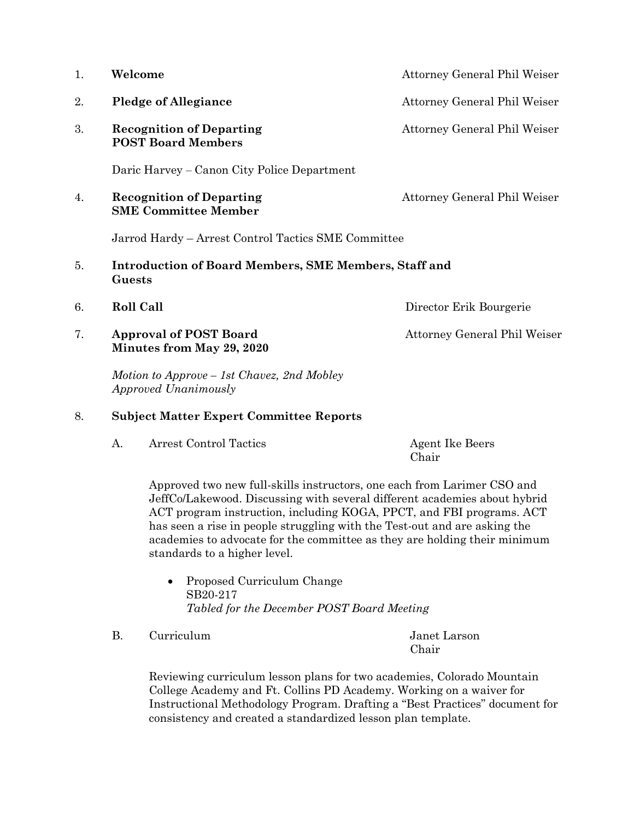| 1. | Welcome                                                                | Attorney General Phil Weiser |
|----|------------------------------------------------------------------------|------------------------------|
| 2. | <b>Pledge of Allegiance</b>                                            | Attorney General Phil Weiser |
| 3. | <b>Recognition of Departing</b><br><b>POST Board Members</b>           | Attorney General Phil Weiser |
|    | Daric Harvey – Canon City Police Department                            |                              |
| 4. | <b>Recognition of Departing</b><br><b>SME Committee Member</b>         | Attorney General Phil Weiser |
|    | Jarrod Hardy – Arrest Control Tactics SME Committee                    |                              |
| 5. | <b>Introduction of Board Members, SME Members, Staff and</b><br>Guests |                              |
| 6. | <b>Roll Call</b>                                                       | Director Erik Bourgerie      |
| 7. | <b>Approval of POST Board</b><br>Minutes from May 29, 2020             | Attorney General Phil Weiser |
|    | Motion to Approve – 1st Chavez, 2nd Mobley<br>Approved Unanimously     |                              |

## 8. **Subject Matter Expert Committee Reports**

|  | <b>Arrest Control Tactics</b> | <b>Agent Ike Beers</b> |
|--|-------------------------------|------------------------|
|  |                               | Chair                  |

Approved two new full-skills instructors, one each from Larimer CSO and JeffCo/Lakewood. Discussing with several different academies about hybrid ACT program instruction, including KOGA, PPCT, and FBI programs. ACT has seen a rise in people struggling with the Test-out and are asking the academies to advocate for the committee as they are holding their minimum standards to a higher level.

• Proposed Curriculum Change SB20-217 *Tabled for the December POST Board Meeting*

B. Curriculum and the United States of Tangler Curriculum

Chair

Reviewing curriculum lesson plans for two academies, Colorado Mountain College Academy and Ft. Collins PD Academy. Working on a waiver for Instructional Methodology Program. Drafting a "Best Practices" document for consistency and created a standardized lesson plan template.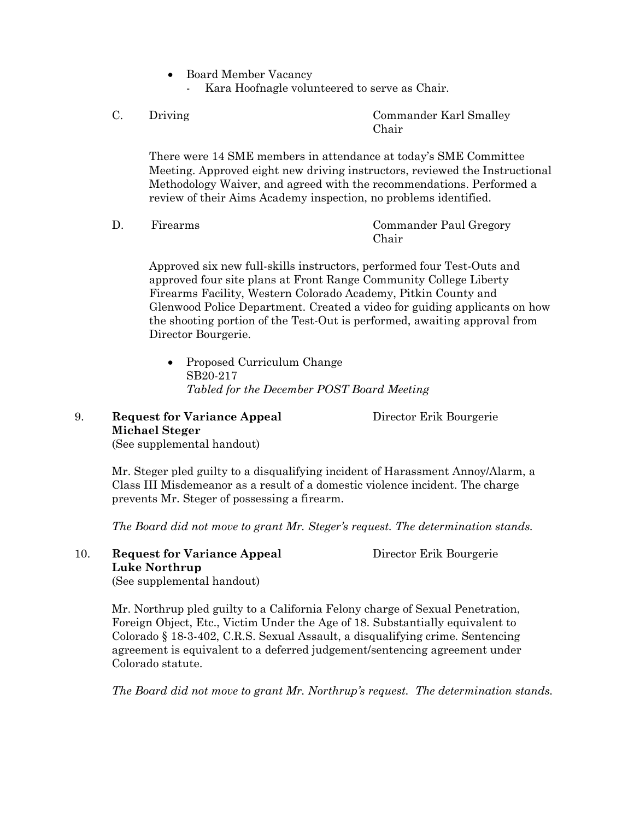- Board Member Vacancy
	- Kara Hoofnagle volunteered to serve as Chair.
- 

C. Driving Commander Karl Smalley Chair

There were 14 SME members in attendance at today's SME Committee Meeting. Approved eight new driving instructors, reviewed the Instructional Methodology Waiver, and agreed with the recommendations. Performed a review of their Aims Academy inspection, no problems identified.

D. Firearms Commander Paul Gregory Chair

Approved six new full-skills instructors, performed four Test-Outs and approved four site plans at Front Range Community College Liberty Firearms Facility, Western Colorado Academy, Pitkin County and Glenwood Police Department. Created a video for guiding applicants on how the shooting portion of the Test-Out is performed, awaiting approval from Director Bourgerie.

• Proposed Curriculum Change SB20-217 *Tabled for the December POST Board Meeting*

# 9. **Request for Variance Appeal** Director Erik Bourgerie **Michael Steger**

(See supplemental handout)

Mr. Steger pled guilty to a disqualifying incident of Harassment Annoy/Alarm, a Class III Misdemeanor as a result of a domestic violence incident. The charge prevents Mr. Steger of possessing a firearm.

*The Board did not move to grant Mr. Steger's request. The determination stands.*

10. **Request for Variance Appeal** Director Erik Bourgerie **Luke Northrup**

(See supplemental handout)

Mr. Northrup pled guilty to a California Felony charge of Sexual Penetration, Foreign Object, Etc., Victim Under the Age of 18. Substantially equivalent to Colorado § 18-3-402, C.R.S. Sexual Assault, a disqualifying crime. Sentencing agreement is equivalent to a deferred judgement/sentencing agreement under Colorado statute.

*The Board did not move to grant Mr. Northrup's request. The determination stands.*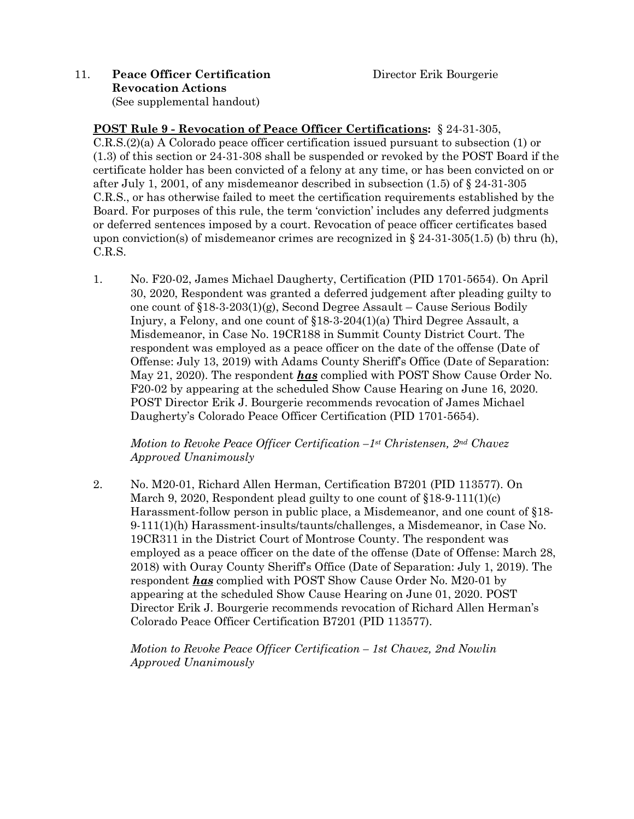# 11. **Peace Officer Certification** Director Erik Bourgerie **Revocation Actions**  (See supplemental handout)

**POST Rule 9 - Revocation of Peace Officer Certifications:** § 24-31-305, C.R.S.(2)(a) A Colorado peace officer certification issued pursuant to subsection (1) or (1.3) of this section or 24-31-308 shall be suspended or revoked by the POST Board if the certificate holder has been convicted of a felony at any time, or has been convicted on or after July 1, 2001, of any misdemeanor described in subsection (1.5) of § 24-31-305 C.R.S., or has otherwise failed to meet the certification requirements established by the Board. For purposes of this rule, the term 'conviction' includes any deferred judgments or deferred sentences imposed by a court. Revocation of peace officer certificates based upon conviction(s) of misdemeanor crimes are recognized in  $\S 24-31-305(1.5)$  (b) thru (h), C.R.S.

1. No. F20-02, James Michael Daugherty, Certification (PID 1701-5654). On April 30, 2020, Respondent was granted a deferred judgement after pleading guilty to one count of  $$18-3-203(1)(g)$ , Second Degree Assault – Cause Serious Bodily Injury, a Felony, and one count of §18-3-204(1)(a) Third Degree Assault, a Misdemeanor, in Case No. 19CR188 in Summit County District Court. The respondent was employed as a peace officer on the date of the offense (Date of Offense: July 13, 2019) with Adams County Sheriff's Office (Date of Separation: May 21, 2020). The respondent *has* complied with POST Show Cause Order No. F20-02 by appearing at the scheduled Show Cause Hearing on June 16, 2020. POST Director Erik J. Bourgerie recommends revocation of James Michael Daugherty's Colorado Peace Officer Certification (PID 1701-5654).

*Motion to Revoke Peace Officer Certification –1st Christensen, 2nd Chavez Approved Unanimously* 

2. No. M20-01, Richard Allen Herman, Certification B7201 (PID 113577). On March 9, 2020, Respondent plead guilty to one count of  $\S 18-9-111(1)(c)$ Harassment-follow person in public place, a Misdemeanor, and one count of §18- 9-111(1)(h) Harassment-insults/taunts/challenges, a Misdemeanor, in Case No. 19CR311 in the District Court of Montrose County. The respondent was employed as a peace officer on the date of the offense (Date of Offense: March 28, 2018) with Ouray County Sheriff's Office (Date of Separation: July 1, 2019). The respondent *has* complied with POST Show Cause Order No. M20-01 by appearing at the scheduled Show Cause Hearing on June 01, 2020. POST Director Erik J. Bourgerie recommends revocation of Richard Allen Herman's Colorado Peace Officer Certification B7201 (PID 113577).

*Motion to Revoke Peace Officer Certification – 1st Chavez, 2nd Nowlin Approved Unanimously*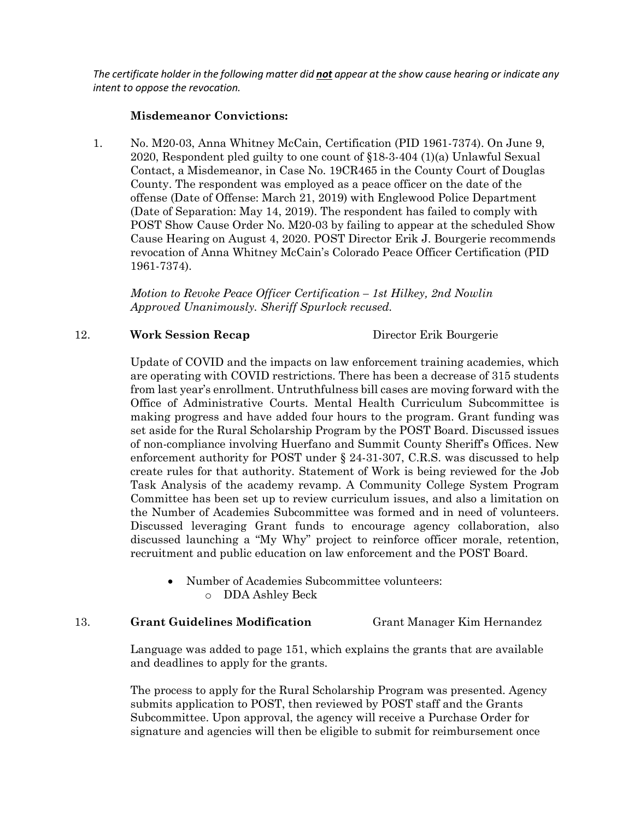*The certificate holder in the following matter did not appear at the show cause hearing or indicate any intent to oppose the revocation.* 

## **Misdemeanor Convictions:**

1. No. M20-03, Anna Whitney McCain, Certification (PID 1961-7374). On June 9, 2020, Respondent pled guilty to one count of §18-3-404 (1)(a) Unlawful Sexual Contact, a Misdemeanor, in Case No. 19CR465 in the County Court of Douglas County. The respondent was employed as a peace officer on the date of the offense (Date of Offense: March 21, 2019) with Englewood Police Department (Date of Separation: May 14, 2019). The respondent has failed to comply with POST Show Cause Order No. M20-03 by failing to appear at the scheduled Show Cause Hearing on August 4, 2020. POST Director Erik J. Bourgerie recommends revocation of Anna Whitney McCain's Colorado Peace Officer Certification (PID 1961-7374).

*Motion to Revoke Peace Officer Certification – 1st Hilkey, 2nd Nowlin Approved Unanimously. Sheriff Spurlock recused.*

## 12. **Work Session Recap** Director Erik Bourgerie

Update of COVID and the impacts on law enforcement training academies, which are operating with COVID restrictions. There has been a decrease of 315 students from last year's enrollment. Untruthfulness bill cases are moving forward with the Office of Administrative Courts. Mental Health Curriculum Subcommittee is making progress and have added four hours to the program. Grant funding was set aside for the Rural Scholarship Program by the POST Board. Discussed issues of non-compliance involving Huerfano and Summit County Sheriff's Offices. New enforcement authority for POST under § 24-31-307, C.R.S. was discussed to help create rules for that authority. Statement of Work is being reviewed for the Job Task Analysis of the academy revamp. A Community College System Program Committee has been set up to review curriculum issues, and also a limitation on the Number of Academies Subcommittee was formed and in need of volunteers. Discussed leveraging Grant funds to encourage agency collaboration, also discussed launching a "My Why" project to reinforce officer morale, retention, recruitment and public education on law enforcement and the POST Board.

• Number of Academies Subcommittee volunteers: o DDA Ashley Beck

## 13. **Grant Guidelines Modification** Grant Manager Kim Hernandez

Language was added to page 151, which explains the grants that are available and deadlines to apply for the grants.

The process to apply for the Rural Scholarship Program was presented. Agency submits application to POST, then reviewed by POST staff and the Grants Subcommittee. Upon approval, the agency will receive a Purchase Order for signature and agencies will then be eligible to submit for reimbursement once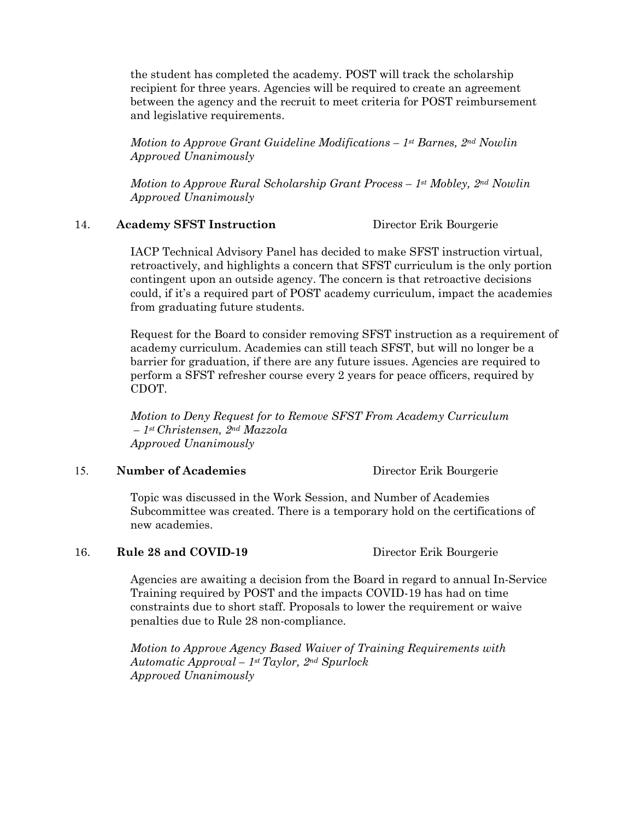the student has completed the academy. POST will track the scholarship recipient for three years. Agencies will be required to create an agreement between the agency and the recruit to meet criteria for POST reimbursement and legislative requirements.

*Motion to Approve Grant Guideline Modifications – 1st Barnes, 2nd Nowlin Approved Unanimously*

*Motion to Approve Rural Scholarship Grant Process – 1st Mobley, 2nd Nowlin Approved Unanimously*

### 14. **Academy SFST Instruction** Director Erik Bourgerie

IACP Technical Advisory Panel has decided to make SFST instruction virtual, retroactively, and highlights a concern that SFST curriculum is the only portion contingent upon an outside agency. The concern is that retroactive decisions could, if it's a required part of POST academy curriculum, impact the academies from graduating future students.

Request for the Board to consider removing SFST instruction as a requirement of academy curriculum. Academies can still teach SFST, but will no longer be a barrier for graduation, if there are any future issues. Agencies are required to perform a SFST refresher course every 2 years for peace officers, required by CDOT.

*Motion to Deny Request for to Remove SFST From Academy Curriculum – 1st Christensen, 2nd Mazzola Approved Unanimously*

## 15. **Number of Academies** Director Erik Bourgerie

Topic was discussed in the Work Session, and Number of Academies Subcommittee was created. There is a temporary hold on the certifications of new academies.

## 16. **Rule 28 and COVID-19** Director Erik Bourgerie

Agencies are awaiting a decision from the Board in regard to annual In-Service Training required by POST and the impacts COVID-19 has had on time constraints due to short staff. Proposals to lower the requirement or waive penalties due to Rule 28 non-compliance.

*Motion to Approve Agency Based Waiver of Training Requirements with Automatic Approval – 1st Taylor, 2nd Spurlock Approved Unanimously*